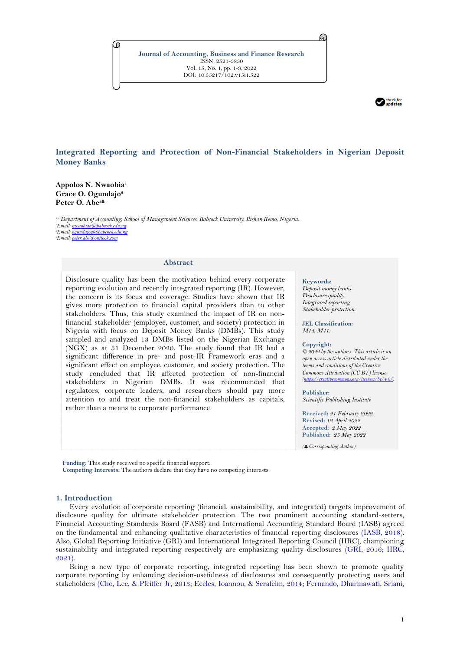**Journal of Accounting, Business and Finance Research** ISSN: 2521-3830 Vol. 15, No. 1, pp. 1-9, 2022 DOI: 10.55217/102.v15i1.522



# **Integrated Reporting and Protection of Non-Financial Stakeholders in Nigerian Deposit Money Banks**

**Appolos N. Nwaobia<sup>1</sup> Grace O. Ogundajo<sup>2</sup> Peter O. Abe<sup>3</sup>**

*1,2,3Department of Accounting, School of Management Sciences, Babcock University, Ilishan Remo, Nigeria. Email[: nwaobiaa@babcock.edu.ng](mailto:nwaobiaa@babcock.edu.ng) Email[: ogundajog@babcock.edu.ng](mailto:ogundajog@babcock.edu.ng) Email[: peter.abe@outlook.com](mailto:peter.abe@outlook.com)*

#### **Abstract**

Disclosure quality has been the motivation behind every corporate reporting evolution and recently integrated reporting (IR). However, the concern is its focus and coverage. Studies have shown that IR gives more protection to financial capital providers than to other stakeholders. Thus, this study examined the impact of IR on nonfinancial stakeholder (employee, customer, and society) protection in Nigeria with focus on Deposit Money Banks (DMBs). This study sampled and analyzed 13 DMBs listed on the Nigerian Exchange (NGX) as at 31 December 2020. The study found that IR had a significant difference in pre- and post-IR Framework eras and a significant effect on employee, customer, and society protection. The study concluded that IR affected protection of non-financial stakeholders in Nigerian DMBs. It was recommended that regulators, corporate leaders, and researchers should pay more attention to and treat the non-financial stakeholders as capitals, rather than a means to corporate performance.

#### **Keywords:**

G

*Deposit money banks Disclosure quality Integrated reporting Stakeholder protection.*

**JEL Classification:** *M14, M41.*

#### **Copyright:**

*© 2022 by the authors. This article is an open access article distributed under the terms and conditions of the Creative Commons Attribution (CC BY) license [\(https://creativecommons.org/licenses/by/4.0/\)](https://creativecommons.org/licenses/by/4.0/)*

#### **Publisher:**

*Scientific Publishing Institute*

**Received:** *21 February 2022* **Revised:** *12 April 2022* **Accepted:** *2 May 2022* **Published:** *25 May 2022*

*( Corresponding Author)*

**Funding:** This study received no specific financial support.

**Competing Interests:** The authors declare that they have no competing interests.

#### **1. Introduction**

Every evolution of corporate reporting (financial, sustainability, and integrated) targets improvement of disclosure quality for ultimate stakeholder protection. The two prominent accounting standard-setters, Financial Accounting Standards Board (FASB) and International Accounting Standard Board (IASB) agreed on the fundamental and enhancing qualitative characteristics of financial reporting disclosures [\(IASB, 2018\)](#page-7-0). Also, Global Reporting Initiative (GRI) and International Integrated Reporting Council (IIRC), championing sustainability and integrated reporting respectively are emphasizing quality disclosures [\(GRI, 2016;](#page-7-1) [IIRC,](#page-7-2)  [2021\)](#page-7-2).

Being a new type of corporate reporting, integrated reporting has been shown to promote quality corporate reporting by enhancing decision-usefulness of disclosures and consequently protecting users and stakeholders [\(Cho, Lee, & Pfeiffer Jr, 2013;](#page-7-3) [Eccles, Ioannou, & Serafeim, 2014;](#page-7-4) [Fernando, Dharmawati, Sriani,](#page-7-5)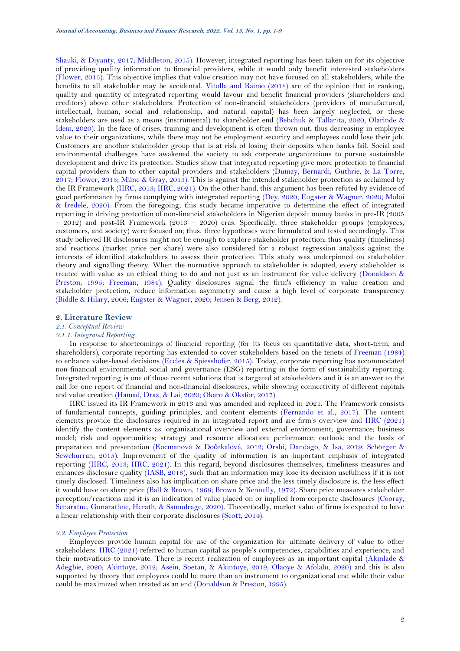Shauki, & [Diyanty, 2017;](#page-7-5) [Middleton, 2015\)](#page-7-6). However, integrated reporting has been taken on for its objective of providing quality information to financial providers, while it would only benefit interested stakeholders [\(Flower, 2015\)](#page-7-7). This objective implies that value creation may not have focused on all stakeholders, while the benefits to all stakeholder may be accidental. [Vitolla and Raimo \(2018\)](#page-8-0) are of the opinion that in ranking, quality and quantity of integrated reporting would favour and benefit financial providers (shareholders and creditors) above other stakeholders. Protection of non-financial stakeholders (providers of manufactured, intellectual, human, social and relationship, and natural capital) has been largely neglected, or these stakeholders are used as a means (instrumental) to shareholder end [\(Bebchuk & Tallarita, 2020;](#page-6-0) [Olarinde &](#page-8-1)  [Idem, 2020\)](#page-8-1). In the face of crises, training and development is often thrown out, thus decreasing in employee value to their organizations, while there may not be employment security and employees could lose their job. Customers are another stakeholder group that is at risk of losing their deposits when banks fail. Social and environmental challenges have awakened the society to ask corporate organizations to pursue sustainable development and drive its protection. Studies show that integrated reporting give more protection to financial capital providers than to other capital providers and stakeholders [\(Dumay, Bernardi, Guthrie,](#page-7-8) & La Torre, [2017;](#page-7-8) [Flower, 2015;](#page-7-7) [Milne & Gray, 2013\)](#page-7-9). This is against the intended stakeholder protection as acclaimed by the IR Framework [\(IIRC, 2013;](#page-7-10) [IIRC, 2021\)](#page-7-2). On the other hand, this argument has been refuted by evidence of good performance by firms complying with integrated reporting [\(Dey, 2020;](#page-7-11) [Eugster & Wagner, 2020;](#page-7-12) [Moloi](#page-7-13)  [& Iredele, 2020\)](#page-7-13). From the foregoing, this study became imperative to determine the effect of integrated reporting in driving protection of non-financial stakeholders in Nigerian deposit money banks in pre-IR (2005 – 2012) and post-IR Framework (2013 – 2020) eras. Specifically, three stakeholder groups (employees, customers, and society) were focused on; thus, three hypotheses were formulated and tested accordingly. This study believed IR disclosures might not be enough to explore stakeholder protection; thus quality (timeliness) and reactions (market price per share) were also considered for a robust regression analysis against the interests of identified stakeholders to assess their protection. This study was underpinned on stakeholder theory and signalling theory. When the normative approach to stakeholder is adopted, every stakeholder is treated with value as an ethical thing to do and not just as an instrument for value delivery [\(Donaldson &](#page-7-14)  [Preston, 1995;](#page-7-14) [Freeman, 1984\)](#page-7-15). Quality disclosures signal the firm's efficiency in value creation and stakeholder protection, reduce information asymmetry and cause a high level of corporate transparency [\(Biddle & Hilary, 2006;](#page-6-1) [Eugster & Wagner, 2020;](#page-7-12) [Jensen & Berg, 2012\)](#page-7-16).

### **2. Literature Review**

# *2.1. Conceptual Review*

# *2.1.1. Integrated Reporting*

In response to shortcomings of financial reporting (for its focus on quantitative data, short-term, and shareholders), corporate reporting has extended to cover stakeholders based on the tenets of [Freeman \(1984\)](#page-7-15) to enhance value-based decisions (Eccles [& Spiesshofer, 2015\)](#page-7-17). Today, corporate reporting has accommodated non-financial environmental, social and governance (ESG) reporting in the form of sustainability reporting. Integrated reporting is one of those recent solutions that is targeted at stakeholders and it is an answer to the call for one report of financial and non-financial disclosures, while showing connectivity of different capitals and value creation [\(Hamad, Draz,](#page-7-18) & Lai, 2020; [Okaro & Okafor, 2017\)](#page-7-19).

IIRC issued its IR Framework in 2013 and was amended and replaced in 2021. The Framework consists of fundamental concepts, guiding principles, and content elements [\(Fernando et al., 2017\)](#page-7-5). The content elements provide the disclosures required in an integrated report and are firm's overview and IIRC [\(2021\)](#page-7-2) identify the content elements as: organizational overview and external environment; governance; business model; risk and opportunities; strategy and resource allocation; performance; outlook; and the basis of preparation and presentation [\(Kocmanová & Do](#page-7-20)čekalová, 2012; [Orshi, Dandago, & Isa, 2019;](#page-8-2) [Schörger &](#page-8-3)  [Sewchurran, 2015\)](#page-8-3). Improvement of the quality of information is an important emphasis of integrated reporting [\(IIRC, 2013;](#page-7-10) [IIRC, 2021\)](#page-7-2). In this regard, beyond disclosures themselves, timeliness measures and enhances disclosure quality [\(IASB, 2018\)](#page-7-0), such that an information may lose its decision usefulness if it is not timely disclosed. Timeliness also has implication on share price and the less timely disclosure is, the less effect it would have on share price [\(Ball & Brown, 1968;](#page-6-2) [Brown & Kennelly, 1972\)](#page-6-3). Share price measures stakeholder perception/reactions and it is an indication of value placed on or implied from corporate disclosures [\(Cooray,](#page-7-21)  [Senaratne, Gunarathne, Herath, & Samudrage, 2020\)](#page-7-21). Theoretically, market value of firms is expected to have a linear relationship with their corporate disclosures [\(Scott, 2014\)](#page-8-4).

#### *2.2. Employee Protection*

Employees provide human capital for use of the organization for ultimate delivery of value to other stakeholders. IIRC [\(2021\)](#page-7-2) referred to human capital as people's competencies, capabilities and experience, and their motivations to innovate. There is recent realization of employees as an important capital [\(Akinlade &](#page-6-4)  [Adegbie, 2020;](#page-6-4) [Akintoye, 2012;](#page-6-5) [Asein, Soetan, & Akintoye,](#page-6-6) 2019; [Olaoye & Afolalu, 2020\)](#page-8-5) and this is also supported by theory that employees could be more than an instrument to organizational end while their value could be maximized when treated as an end (Donaldson & [Preston, 1995\)](#page-7-14).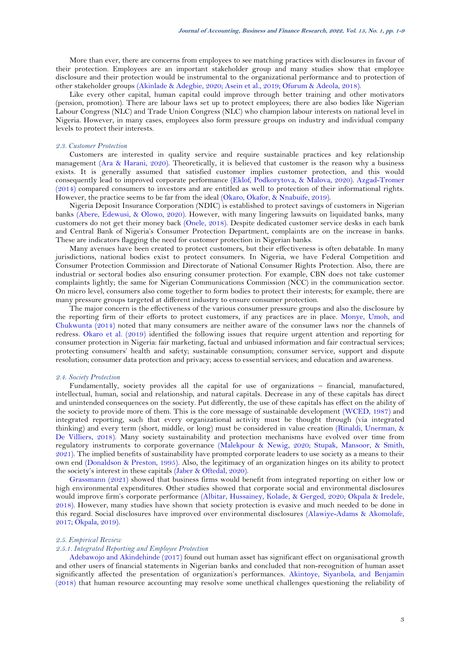More than ever, there are concerns from employees to see matching practices with disclosures in favour of their protection. Employees are an important stakeholder group and many studies show that employee disclosure and their protection would be instrumental to the organizational performance and to protection of other stakeholder groups [\(Akinlade & Adegbie, 2020;](#page-6-4) [Asein et al., 2019;](#page-6-6) [Ofurum & Adeola, 2018\)](#page-7-22).

Like every other capital, human capital could improve through better training and other motivators (pension, promotion). There are labour laws set up to protect employees; there are also bodies like Nigerian Labour Congress (NLC) and Trade Union Congress (NLC) who champion labour interests on national level in Nigeria. However, in many cases, employees also form pressure groups on industry and individual company levels to protect their interests.

### *2.3. Customer Protection*

Customers are interested in quality service and require sustainable practices and key relationship management [\(Ara & Harani, 2020\)](#page-6-7). Theoretically, it is believed that customer is the reason why a business exists. It is generally assumed that satisfied customer implies customer protection, and this would consequently lead to improved corporate performance [\(Eklof, Podkorytova, & Malova, 2020\)](#page-7-23). [Azgad-Tromer](#page-6-8) [\(2014\)](#page-6-8) compared consumers to investors and are entitled as well to protection of their informational rights. However, the practice seems to be far from the ideal [\(Okaro, Okafor, & Nnabuife, 2019\)](#page-7-24).

Nigeria Deposit Insurance Corporation (NDIC) is established to protect savings of customers in Nigerian banks [\(Abere, Edewusi, & Olowo, 2020\)](#page-6-9). However, with many lingering lawsuits on liquidated banks, many customers do not get their money back [\(Onele, 2018\)](#page-8-6). Despite dedicated customer service desks in each bank and Central Bank of Nigeria's Consumer Protection Department, complaints are on the increase in banks. These are indicators flagging the need for customer protection in Nigerian banks.

Many avenues have been created to protect customers, but their effectiveness is often debatable. In many jurisdictions, national bodies exist to protect consumers. In Nigeria, we have Federal Competition and Consumer Protection Commission and Directorate of National Consumer Rights Protection. Also, there are industrial or sectoral bodies also ensuring consumer protection. For example, CBN does not take customer complaints lightly; the same for Nigerian Communications Commission (NCC) in the communication sector. On micro level, consumers also come together to form bodies to protect their interests; for example, there are many pressure groups targeted at different industry to ensure consumer protection.

The major concern is the effectiveness of the various consumer pressure groups and also the disclosure by the reporting firm of their efforts to protect customers, if any practices are in place. [Monye, Umoh, and](#page-7-25) [Chukwunta \(2014\)](#page-7-25) noted that many consumers are neither aware of the consumer laws nor the channels of redress. Okaro [et al. \(2019\)](#page-7-24) identified the following issues that require urgent attention and reporting for consumer protection in Nigeria: fair marketing, factual and unbiased information and fair contractual services; protecting consumers' health and safety; sustainable consumption; consumer service, support and dispute resolution; consumer data protection and privacy; access to essential services; and education and awareness.

## *2.4. Society Protection*

Fundamentally, society provides all the capital for use of organizations – financial, manufactured, intellectual, human, social and relationship, and natural capitals. Decrease in any of these capitals has direct and unintended consequences on the society. Put differently, the use of these capitals has effect on the ability of the society to provide more of them. This is the core message of sustainable development [\(WCED, 1987\)](#page-8-7) and integrated reporting, such that every organizational activity must be thought through (via integrated thinking) and every term (short, middle, or long) must be considered in value creation [\(Rinaldi, Unerman, &](#page-8-8)  [De Villiers, 2018\)](#page-8-8). Many society sustainability and protection mechanisms have evolved over time from regulatory instruments to corporate governance [\(Malekpour & Newig, 2020;](#page-7-26) [Stupak, Mansoor, & Smith,](#page-8-9)  [2021\)](#page-8-9). The implied benefits of sustainability have prompted corporate leaders to use society as a means to their own end [\(Donaldson & Preston, 1995\)](#page-7-14). Also, the legitimacy of an organization hinges on its ability to protect the society's interest in these capitals [\(Jaber & Oftedal, 2020\)](#page-7-27).

[Grassmann](#page-7-28) (2021) showed that business firms would benefit from integrated reporting on either low or high environmental expenditures. Other studies showed that corporate social and environmental disclosures would improve firm's corporate performance [\(Albitar, Hussainey, Kolade, & Gerged, 2020;](#page-6-10) [Okpala & Iredele,](#page-8-10)  [2018\)](#page-8-10). However, many studies have shown that society protection is evasive and much needed to be done in this regard. Social disclosures have improved over environmental disclosures [\(Alawiye-Adams & Akomolafe,](#page-6-11)  [2017;](#page-6-11) [Okpala, 2019\)](#page-8-11).

#### *2.5. Empirical Review*

#### *2.5.1. Integrated Reporting and Employee Protection*

[Adebawojo and Akindehinde \(2017\)](#page-6-12) found out human asset has significant effect on organisational growth and other users of financial statements in Nigerian banks and concluded that non-recognition of human asset significantly affected the presentation of organization's performances. [Akintoye, Siyanbola, and Benjamin](#page-6-13)  [\(2018\)](#page-6-13) that human resource accounting may resolve some unethical challenges questioning the reliability of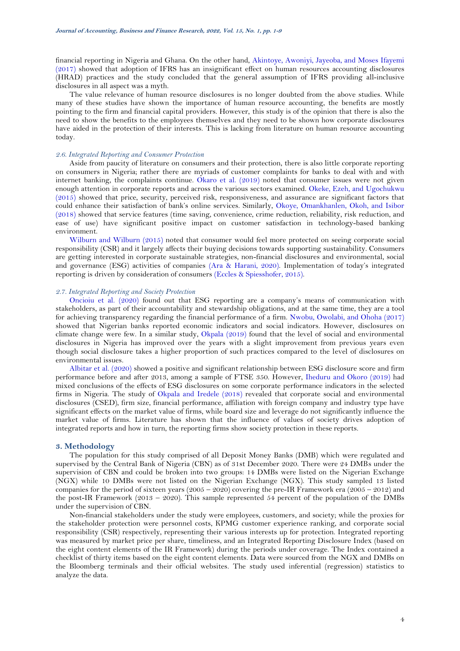financial reporting in Nigeria and Ghana. On the other hand, [Akintoye, Awoniyi, Jayeoba, and Moses Ifayemi](#page-6-14)  [\(2017\)](#page-6-14) showed that adoption of IFRS has an insignificant effect on human resources accounting disclosures (HRAD) practices and the study concluded that the general assumption of IFRS providing all-inclusive disclosures in all aspect was a myth.

The value relevance of human resource disclosures is no longer doubted from the above studies. While many of these studies have shown the importance of human resource accounting, the benefits are mostly pointing to the firm and financial capital providers. However, this study is of the opinion that there is also the need to show the benefits to the employees themselves and they need to be shown how corporate disclosures have aided in the protection of their interests. This is lacking from literature on human resource accounting today.

### *2.6. Integrated Reporting and Consumer Protection*

Aside from paucity of literature on consumers and their protection, there is also little corporate reporting on consumers in Nigeria; rather there are myriads of customer complaints for banks to deal with and with internet banking, the complaints continue. Okaro [et al. \(2019\)](#page-7-24) noted that consumer issues were not given enough attention in corporate reports and across the various sectors examined. [Okeke, Ezeh, and Ugochukwu](#page-8-12)  [\(2015\)](#page-8-12) showed that price, security, perceived risk, responsiveness, and assurance are significant factors that could enhance their satisfaction of bank's online services. Similarly, [Okoye, Omankhanlen,](#page-8-13) Okoh, and Isibor [\(2018\)](#page-8-13) showed that service features (time saving, convenience, crime reduction, reliability, risk reduction, and ease of use) have significant positive impact on customer satisfaction in technology-based banking environment.

[Wilburn and Wilburn \(2015\)](#page-8-14) noted that consumer would feel more protected on seeing corporate social responsibility (CSR) and it largely affects their buying decisions towards supporting sustainability. Consumers are getting interested in corporate sustainable strategies, non-financial disclosures and environmental, social and governance (ESG) activities of companies [\(Ara & Harani, 2020\)](#page-6-7). Implementation of today's integrated reporting is driven by consideration of consumers (Eccles [& Spiesshofer, 2015\)](#page-7-17).

### *2.7. Integrated Reporting and Society Protection*

[Oncioiu et al. \(2020\)](#page-8-15) found out that ESG reporting are a company's means of communication with stakeholders, as part of their accountability and stewardship obligations, and at the same time, they are a tool for achieving transparency regarding the financial performance of a firm. [Nwobu, Owolabi, and Ohoha \(2017\)](#page-7-29) showed that Nigerian banks reported economic indicators and social indicators. However, disclosures on climate change were few. In a similar study, [Okpala](#page-8-11) (2019) found that the level of social and environmental disclosures in Nigeria has improved over the years with a slight improvement from previous years even though social disclosure takes a higher proportion of such practices compared to the level of disclosures on environmental issues.

[Albitar et al. \(2020\)](#page-6-10) showed a positive and significant relationship between ESG disclosure score and firm performance before and after 2013, among a sample of FTSE 350. However, [Iheduru and Okoro \(2019\)](#page-7-30) had mixed conclusions of the effects of ESG disclosures on some corporate performance indicators in the selected firms in Nigeria. The study of [Okpala and Iredele \(2018\)](#page-8-10) revealed that corporate social and environmental disclosures (CSED), firm size, financial performance, affiliation with foreign company and industry type have significant effects on the market value of firms, while board size and leverage do not significantly influence the market value of firms. Literature has shown that the influence of values of society drives adoption of integrated reports and how in turn, the reporting firms show society protection in these reports.

#### **3. Methodology**

The population for this study comprised of all Deposit Money Banks (DMB) which were regulated and supervised by the Central Bank of Nigeria (CBN) as of 31st December 2020. There were 24 DMBs under the supervision of CBN and could be broken into two groups: 14 DMBs were listed on the Nigerian Exchange (NGX) while 10 DMBs were not listed on the Nigerian Exchange (NGX). This study sampled 13 listed companies for the period of sixteen years (2005 – 2020) covering the pre-IR Framework era (2005 – 2012) and the post-IR Framework (2013 – 2020). This sample represented 54 percent of the population of the DMBs under the supervision of CBN.

Non-financial stakeholders under the study were employees, customers, and society; while the proxies for the stakeholder protection were personnel costs, KPMG customer experience ranking, and corporate social responsibility (CSR) respectively, representing their various interests up for protection. Integrated reporting was measured by market price per share, timeliness, and an Integrated Reporting Disclosure Index (based on the eight content elements of the IR Framework) during the periods under coverage. The Index contained a checklist of thirty items based on the eight content elements. Data were sourced from the NGX and DMBs on the Bloomberg terminals and their official websites. The study used inferential (regression) statistics to analyze the data.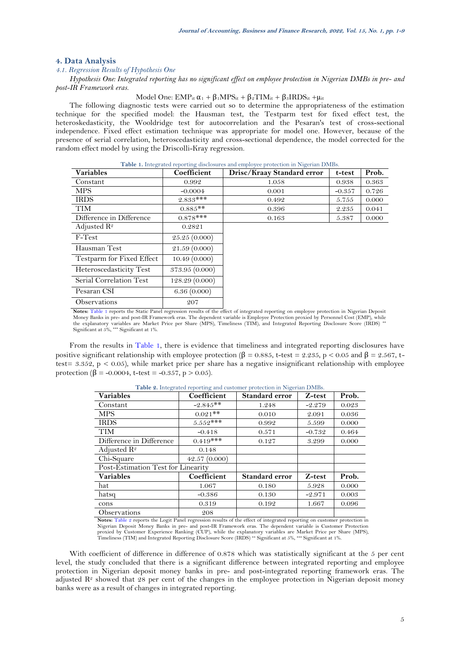### **4. Data Analysis**

#### *4.1. Regression Results of Hypothesis One*

*Hypothesis One: Integrated reporting has no significant effect on employee protection in Nigerian DMBs in pre- and post-IR Framework eras.*

### Model One:  $EMP_{it} \alpha_1 + \beta_1 MPS_{it} + \beta_2 TIM_{it} + \beta_3 IRDS_{it} + \mu_{it}$

The following diagnostic tests were carried out so to determine the appropriateness of the estimation technique for the specified model: the Hausman test, the Testparm test for fixed effect test, the heteroskedasticity, the Wooldridge test for autocorrelation and the Pesaran's test of cross-sectional independence. Fixed effect estimation technique was appropriate for model one. However, because of the presence of serial correlation, heteroscedasticity and cross-sectional dependence, the model corrected for the random effect model by using the Driscolli-Kray regression.

<span id="page-4-0"></span>

| Table 1. Integrated reporting disclosures and employee protection in Nigerian DMBs. |                |                            |          |       |  |  |
|-------------------------------------------------------------------------------------|----------------|----------------------------|----------|-------|--|--|
| <b>Variables</b>                                                                    | Coefficient    | Drisc/Kraay Standard error | t-test   | Prob. |  |  |
| Constant                                                                            | 0.992          | 1.058                      | 0.938    | 0.363 |  |  |
| MPS.                                                                                | $-0.0004$      | 0.001                      | $-0.357$ | 0.726 |  |  |
| <b>IRDS</b>                                                                         | $2.833***$     | 0.492                      | 5.755    | 0.000 |  |  |
| <b>TIM</b>                                                                          | $0.885**$      | 0.396                      | 2.235    | 0.041 |  |  |
| Difference in Difference                                                            | $0.878***$     | 0.163                      | 5.387    | 0.000 |  |  |
| Adjusted $\mathbb{R}^2$                                                             | 0.2821         |                            |          |       |  |  |
| F-Test                                                                              | 25.25(0.000)   |                            |          |       |  |  |
| Hausman Test                                                                        | 21.59 (0.000)  |                            |          |       |  |  |
| Testparm for Fixed Effect                                                           | 10.49(0.000)   |                            |          |       |  |  |
| Heteroscedasticity Test                                                             | 373.95 (0.000) |                            |          |       |  |  |
| Serial Correlation Test                                                             | 128.29 (0.000) |                            |          |       |  |  |
| Pesaran CSI                                                                         | 6.36(0.000)    |                            |          |       |  |  |
| <b>Observations</b>                                                                 | 207            |                            |          |       |  |  |

**Notes:** [Table](#page-4-0) 1 reports the Static Panel regression results of the effect of integrated reporting on employee protection in Nigerian Deposit Money Banks in pre- and post-IR Framework eras. The dependent variable is Employee Protection proxied by Personnel Cost (EMP), while<br>the explanatory variables are Market Price per Share (MPS), Timeliness (TIM), and Integra

From the results in [Table 1,](#page-4-0) there is evidence that timeliness and integrated reporting disclosures have positive significant relationship with employee protection (β = 0.885, t-test = 2.235, p < 0.05 and β = 2.567, ttest=  $3.352$ , p <  $0.05$ ), while market price per share has a negative insignificant relationship with employee protection ( $\beta$  = -0.0004, t-test = -0.357, p > 0.05).

<span id="page-4-1"></span>

| <b>Variables</b>                   | Coefficient  | <b>Standard error</b> | Z-test   | Prob. |
|------------------------------------|--------------|-----------------------|----------|-------|
| Constant                           | $-2.845**$   | 1.248                 | $-2.279$ | 0.023 |
| <b>MPS</b>                         | $0.021**$    | 0.010                 | 2.091    | 0.036 |
| <b>IRDS</b>                        | $5.552***$   | 0.992                 | 5.599    | 0.000 |
| <b>TIM</b>                         | $-0.418$     | 0.571                 | $-0.732$ | 0.464 |
| Difference in Difference           | $0.419***$   | 0.127                 | 3.299    | 0.000 |
| Adjusted $\mathbb{R}^2$            | 0.148        |                       |          |       |
| Chi-Square                         | 42.57(0.000) |                       |          |       |
| Post-Estimation Test for Linearity |              |                       |          |       |
| <b>Variables</b>                   | Coefficient  | <b>Standard error</b> | Z-test   | Prob. |
| hat                                | 1.067        | 0.180                 | 5.928    | 0.000 |
| hatsq                              | $-0.386$     | 0.130                 | $-2.971$ | 0.003 |
| cons                               | 0.319        | 0.192                 | 1.667    | 0.096 |
| Observations                       | 208          |                       |          |       |

**Table 2.** Integrated reporting and customer protection in Nigerian DMBs.

**Notes:** [Table 2](#page-4-1) reports the Logit Panel regression results of the effect of integrated reporting on customer protection in Nigerian Deposit Money Banks in pre- and post-IR Framework eras. The dependent variable is Customer Protection<br>proxied by Customer Experience Ranking (CUP), while the explanatory variables are Market Price per Share (MPS),

With coefficient of difference in difference of 0.878 which was statistically significant at the 5 per cent level, the study concluded that there is a significant difference between integrated reporting and employee protection in Nigerian deposit money banks in pre- and post-integrated reporting framework eras. The adjusted  $\mathbb{R}^2$  showed that 28 per cent of the changes in the employee protection in Nigerian deposit money banks were as a result of changes in integrated reporting.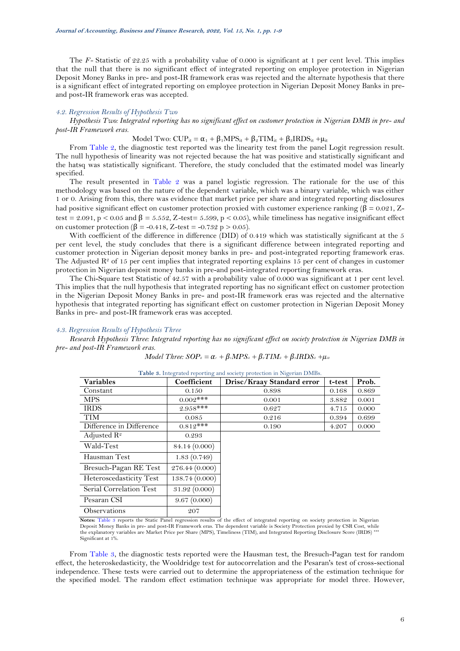The *F*-Statistic of 22.25 with a probability value of 0.000 is significant at 1 per cent level. This implies that the null that there is no significant effect of integrated reporting on employee protection in Nigerian Deposit Money Banks in pre- and post-IR framework eras was rejected and the alternate hypothesis that there is a significant effect of integrated reporting on employee protection in Nigerian Deposit Money Banks in preand post-IR framework eras was accepted.

#### *4.2. Regression Results of Hypothesis Two*

*Hypothesis Two: Integrated reporting has no significant effect on customer protection in Nigerian DMB in pre- and post-IR Framework eras.*

## Model Two:  $CUP_{it} = \alpha_1 + \beta_1 MPS_{it} + \beta_2 TIM_{it} + \beta_3 IRDS_{it} + \mu_{it}$

From [Table 2,](#page-4-1) the diagnostic test reported was the linearity test from the panel Logit regression result. The null hypothesis of linearity was not rejected because the hat was positive and statistically significant and the hatsq was statistically significant. Therefore, the study concluded that the estimated model was linearly specified.

The result presented in [Table 2](#page-4-1) was a panel logistic regression. The rationale for the use of this methodology was based on the nature of the dependent variable, which was a binary variable, which was either 1 or 0. Arising from this, there was evidence that market price per share and integrated reporting disclosures had positive significant effect on customer protection proxied with customer experience ranking ( $\beta = 0.021$ , Ztest = 2.091, p < 0.05 and  $\beta$  = 5.552, Z-test= 5.599, p < 0.05), while timeliness has negative insignificant effect on customer protection ( $\beta$  = -0.418, Z-test = -0.732 p > 0.05).

With coefficient of the difference in difference (DID) of 0.419 which was statistically significant at the 5 per cent level, the study concludes that there is a significant difference between integrated reporting and customer protection in Nigerian deposit money banks in pre- and post-integrated reporting framework eras. The Adjusted  $\mathbb{R}^2$  of 15 per cent implies that integrated reporting explains 15 per cent of changes in customer protection in Nigerian deposit money banks in pre-and post-integrated reporting framework eras.

The Chi-Square test Statistic of 42.57 with a probability value of 0.000 was significant at 1 per cent level. This implies that the null hypothesis that integrated reporting has no significant effect on customer protection in the Nigerian Deposit Money Banks in pre- and post-IR framework eras was rejected and the alternative hypothesis that integrated reporting has significant effect on customer protection in Nigerian Deposit Money Banks in pre- and post-IR framework eras was accepted.

### *4.3. Regression Results of Hypothesis Three*

*Research Hypothesis Three: Integrated reporting has no significant effect on society protection in Nigerian DMB in pre- and post-IR Framework eras.*

| Model Three: $SOP_u = \alpha_t + \beta_t MPS_u + \beta_t TIM_u + \beta_t IRDS_u + \mu_u$ |  |  |  |  |
|------------------------------------------------------------------------------------------|--|--|--|--|
|------------------------------------------------------------------------------------------|--|--|--|--|

<span id="page-5-0"></span>

| <b>Variables</b>           | Coefficient   | Drisc/Kraay Standard error                                                                                                                                                            | t-test | Prob. |
|----------------------------|---------------|---------------------------------------------------------------------------------------------------------------------------------------------------------------------------------------|--------|-------|
| Constant                   | 0.150         | 0.898                                                                                                                                                                                 | 0.168  | 0.869 |
| <b>MPS</b>                 | $0.002$ ***   | 0.001                                                                                                                                                                                 | 3.882  | 0.001 |
| <b>IRDS</b>                | $2.958***$    | 0.627                                                                                                                                                                                 | 4.715  | 0.000 |
| <b>TIM</b>                 | 0.085         | 0.216                                                                                                                                                                                 | 0.394  | 0.699 |
| Difference in Difference   | $0.812***$    | 0.190                                                                                                                                                                                 | 4.207  | 0.000 |
| Adjusted $\mathbb{R}^2$    | 0.293         |                                                                                                                                                                                       |        |       |
| Wald-Test                  | 84.14 (0.000) |                                                                                                                                                                                       |        |       |
| Hausman Test               | 1.83(0.749)   |                                                                                                                                                                                       |        |       |
| Bresuch-Pagan RE Test      | 276.44(0.000) |                                                                                                                                                                                       |        |       |
| Heteroscedasticity Test    | 138.74(0.000) |                                                                                                                                                                                       |        |       |
| Serial Correlation Test    | 31.92(0.000)  |                                                                                                                                                                                       |        |       |
| Pesaran CSI                | 9.67(0.000)   |                                                                                                                                                                                       |        |       |
| <i><b>Observations</b></i> | 207           |                                                                                                                                                                                       |        |       |
|                            |               | Notes: Table 3 reports the Static Panel regression results of the effect of integrated reporting on society protection in Nigerian<br>n 'ar ni' i ame i mii ia 'll'o'ana 'n conoa l'i |        |       |

|  |  |  |  |  |  | <b>Table 3.</b> Integrated reporting and society protection in Nigerian DMBs. |
|--|--|--|--|--|--|-------------------------------------------------------------------------------|
|--|--|--|--|--|--|-------------------------------------------------------------------------------|

Deposit Money Banks in pre- and post-IR Framework eras. The dependent variable is Society Protection proxied by CSR Cost, while<br>the explanatory variables are Market Price per Share (MPS), Timeliness (TIM), and Integrated R Significant at 1%.

From [Table 3,](#page-5-0) the diagnostic tests reported were the Hausman test, the Bresuch-Pagan test for random effect, the heteroskedasticity, the Wooldridge test for autocorrelation and the Pesaran's test of cross-sectional independence. These tests were carried out to determine the appropriateness of the estimation technique for the specified model. The random effect estimation technique was appropriate for model three. However,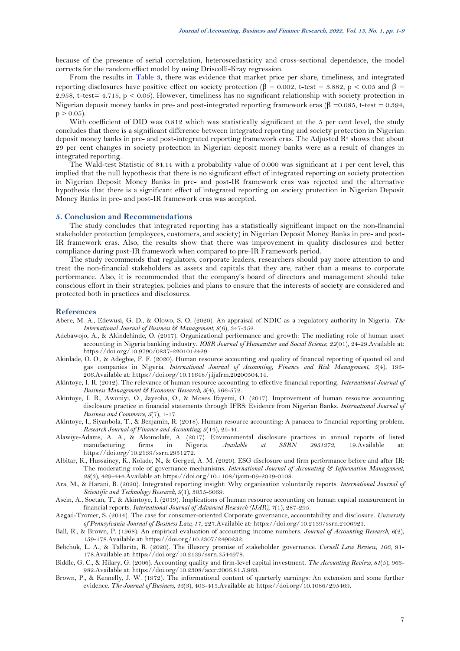because of the presence of serial correlation, heteroscedasticity and cross-sectional dependence, the model corrects for the random effect model by using Driscolli-Kray regression.

From the results in [Table 3,](#page-5-0) there was evidence that market price per share, timeliness, and integrated reporting disclosures have positive effect on society protection (β = 0.002, t-test = 3.882, p < 0.05 and β = 2.958, t*-*test= 4.715, p < 0.05). However, timeliness has no significant relationship with society protection in Nigerian deposit money banks in pre- and post-integrated reporting framework eras (β =0.085, t-test = 0.394,  $p > 0.05$ ).

With coefficient of DID was 0.812 which was statistically significant at the 5 per cent level, the study concludes that there is a significant difference between integrated reporting and society protection in Nigerian deposit money banks in pre- and post-integrated reporting framework eras. The Adjusted R<sup>2</sup> shows that about 29 per cent changes in society protection in Nigerian deposit money banks were as a result of changes in integrated reporting.

The Wald-test Statistic of 84.14 with a probability value of 0.000 was significant at 1 per cent level, this implied that the null hypothesis that there is no significant effect of integrated reporting on society protection in Nigerian Deposit Money Banks in pre- and post-IR framework eras was rejected and the alternative hypothesis that there is a significant effect of integrated reporting on society protection in Nigerian Deposit Money Banks in pre- and post-IR framework eras was accepted.

#### **5. Conclusion and Recommendations**

The study concludes that integrated reporting has a statistically significant impact on the non-financial stakeholder protection (employees, customers, and society) in Nigerian Deposit Money Banks in pre- and post-IR framework eras. Also, the results show that there was improvement in quality disclosures and better compliance during post-IR framework when compared to pre-IR Framework period.

The study recommends that regulators, corporate leaders, researchers should pay more attention to and treat the non-financial stakeholders as assets and capitals that they are, rather than a means to corporate performance. Also, it is recommended that the company's board of directors and management should take conscious effort in their strategies, policies and plans to ensure that the interests of society are considered and protected both in practices and disclosures.

#### **References**

- <span id="page-6-9"></span>Abere, M. A., Edewusi, G. D., & Olowo, S. O. (2020). An appraisal of NDIC as a regulatory authority in Nigeria. *The International Journal of Business & Management, 8*(6), 347-352.
- <span id="page-6-12"></span>Adebawojo, A., & Akindehinde, O. (2017). Organizational performance and growth: The mediating role of human asset accounting in Nigeria banking industry. *IOSR Journal of Humanities and Social Science, 22*(01), 24-29.Available at: https://doi.org/10.9790/0837-2201012429.
- <span id="page-6-4"></span>Akinlade, O. O., & Adegbie, F. F. (2020). Human resource accounting and quality of financial reporting of quoted oil and gas companies in Nigeria. *International Journal of Accounting, Finance and Risk Management, 5*(4), 195- 206.Available at: https://doi.org/10.11648/j.ijafrm.20200504.14.
- <span id="page-6-5"></span>Akintoye, I. R. (2012). The relevance of human resource accounting to effective financial reporting. *International Journal of Business Management & Economic Research, 3*(4), 566-572.
- <span id="page-6-14"></span>Akintoye, I. R., Awoniyi, O., Jayeoba, O., & Moses Ifayemi, O. (2017). Improvement of human resource accounting disclosure practice in financial statements through IFRS: Evidence from Nigerian Banks. *International Journal of Business and Commerce, 5*(7), 1-17.
- <span id="page-6-13"></span>Akintoye, I., Siyanbola, T., & Benjamin, R. (2018). Human resource accounting: A panacea to financial reporting problem. *Research Journal of Finance and Accounting, 9*(14), 25-41.
- <span id="page-6-11"></span>Alawiye-Adams, A. A., & Akomolafe, A. (2017). Environmental disclosure practices in annual reports of listed<br>manufacturing firms in Nigeria. Available at SSRN 2951272, 19.Available at: manufacturing firms in Nigeria. *Available at SSRN 2951272*, https://doi.org/10.2139/ssrn.2951272.
- <span id="page-6-10"></span>Albitar, K., Hussainey, K., Kolade, N., & Gerged, A. M. (2020). ESG disclosure and firm performance before and after IR: The moderating role of governance mechanisms. *International Journal of Accounting & Information Management, 28*(3), 429-444.Available at: https://doi.org/10.1108/ijaim-09-2019-0108.
- <span id="page-6-7"></span>Ara, M., & Harani, B. (2020). Integrated reporting insight: Why organisation voluntarily reports. *International Journal of Scientific and Technology Research, 9*(1), 3055-3069.
- <span id="page-6-6"></span>Asein, A., Soetan, T., & Akintoye, I. (2019). Implications of human resource accounting on human capital measurement in financial reports. *International Journal of Advanced Research (IJAR), 7*(1), 287-295.
- <span id="page-6-8"></span>Azgad-Tromer, S. (2014). The case for consumer-oriented Corporate governance, accountability and disclosure. *University of Pennsylvania Journal of Business Law, 17*, 227.Available at: https://doi.org/10.2139/ssrn.2406921.
- <span id="page-6-2"></span>Ball, R., & Brown, P. (1968). An empirical evaluation of accounting income numbers. *Journal of Accounting Research, 6*(2), 159-178.Available at: https://doi.org/10.2307/2490232.
- <span id="page-6-0"></span>Bebchuk, L. A., & Tallarita, R. (2020). The illusory promise of stakeholder governance. *Cornell Law Review, 106*, 91- 178.Available at: https://doi.org/10.2139/ssrn.3544978.
- <span id="page-6-1"></span>Biddle, G. C., & Hilary, G. (2006). Accounting quality and firm-level capital investment. *The Accounting Review, 81*(5), 963- 982.Available at: https://doi.org/10.2308/accr.2006.81.5.963.
- <span id="page-6-3"></span>Brown, P., & Kennelly, J. W. (1972). The informational content of quarterly earnings: An extension and some further evidence. *The Journal of Business, 45*(3), 403-415.Available at: https://doi.org/10.1086/295469.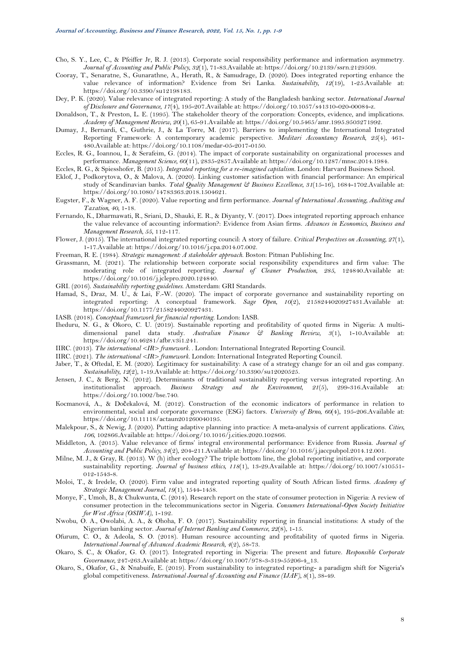- <span id="page-7-3"></span>Cho, S. Y., Lee, C., & Pfeiffer Jr, R. J. (2013). Corporate social responsibility performance and information asymmetry. *Journal of Accounting and Public Policy, 32*(1), 71-83.Available at: https://doi.org/10.2139/ssrn.2129509.
- <span id="page-7-21"></span>Cooray, T., Senaratne, S., Gunarathne, A., Herath, R., & Samudrage, D. (2020). Does integrated reporting enhance the value relevance of information? Evidence from Sri Lanka. *Sustainability, 12*(19), 1-25.Available at: https://doi.org/10.3390/su12198183.
- <span id="page-7-11"></span>Dey, P. K. (2020). Value relevance of integrated reporting: A study of the Bangladesh banking sector. *International Journal of Disclosure and Governance, 17*(4), 195-207.Available at: https://doi.org/10.1057/s41310-020-00084-z.
- <span id="page-7-14"></span>Donaldson, T., & Preston, L. E. (1995). The stakeholder theory of the corporation: Concepts, evidence, and implications. *Academy of Management Review, 20*(1), 65-91.Available at: https://doi.org/10.5465/amr.1995.9503271992.
- <span id="page-7-8"></span>Dumay, J., Bernardi, C., Guthrie, J., & La Torre, M. (2017). Barriers to implementing the International Integrated Reporting Framework: A contemporary academic perspective. *Meditari Accountancy Research, 25*(4), 461- 480.Available at: https://doi.org/10.1108/medar-05-2017-0150.
- <span id="page-7-4"></span>Eccles, R. G., Ioannou, I., & Serafeim, G. (2014). The impact of corporate sustainability on organizational processes and performance. *Management Science, 60*(11), 2835-2857.Available at: https://doi.org/10.1287/mnsc.2014.1984.

<span id="page-7-17"></span>Eccles, R. G., & Spiesshofer, B. (2015). *Integrated reporting for a re-imagined capitalism*. London: Harvard Business School.

- <span id="page-7-23"></span>Eklof, J., Podkorytova, O., & Malova, A. (2020). Linking customer satisfaction with financial performance: An empirical study of Scandinavian banks. *Total Quality Management & Business Excellence, 31*(15-16), 1684-1702.Available at: https://doi.org/10.1080/14783363.2018.1504621.
- <span id="page-7-12"></span>Eugster, F., & Wagner, A. F. (2020). Value reporting and firm performance. *Journal of International Accounting, Auditing and Taxation, 40*, 1-18.
- <span id="page-7-5"></span>Fernando, K., Dharmawati, R., Sriani, D., Shauki, E. R., & Diyanty, V. (2017). Does integrated reporting approach enhance the value relevance of accounting information?: Evidence from Asian firms. *Advances in Economics, Business and Management Research, 55*, 112-117.
- <span id="page-7-7"></span>Flower, J. (2015). The international integrated reporting council: A story of failure. *Critical Perspectives on Accounting, 27*(1), 1-17.Available at: https://doi.org/10.1016/j.cpa.2014.07.002.
- <span id="page-7-15"></span>Freeman, R. E. (1984). *Strategic management: A stakeholder approach*. Boston: Pitman Publishing Inc.
- <span id="page-7-28"></span>Grassmann, M. (2021). The relationship between corporate social responsibility expenditures and firm value: The moderating role of integrated reporting. *Journal of Cleaner Production, 285*, 124840.Available at: https://doi.org/10.1016/j.jclepro.2020.124840.
- <span id="page-7-1"></span>GRI. (2016). *Sustainability reporting guidelines*. Amsterdam: GRI Standards.
- <span id="page-7-18"></span>Hamad, S., Draz, M. U., & Lai, F.-W. (2020). The impact of corporate governance and sustainability reporting on integrated reporting: A conceptual framework. *Sage Open, 10*(2), 2158244020927431.Available at: https://doi.org/10.1177/2158244020927431.
- <span id="page-7-0"></span>IASB. (2018). *Conceptual framework for financial reporting*. London: IASB.
- <span id="page-7-30"></span>Iheduru, N. G., & Okoro, C. U. (2019). Sustainable reporting and profitability of quoted firms in Nigeria: A multidimensional panel data study. *Australian Finance & Banking Review, 3*(1), 1-10.Available at: https://doi.org/10.46281/afbr.v3i1.241.
- <span id="page-7-10"></span>IIRC. (2013). *The international <IR> framework.* . London: International Integrated Reporting Council.
- <span id="page-7-2"></span>IIRC. (2021). *The international <IR> framework*. London: International Integrated Reporting Council.
- <span id="page-7-27"></span>Jaber, T., & Oftedal, E. M. (2020). Legitimacy for sustainability: A case of a strategy change for an oil and gas company. *Sustainability, 12*(2), 1-19.Available at: https://doi.org/10.3390/su12020525.
- <span id="page-7-16"></span>Jensen, J. C., & Berg, N. (2012). Determinants of traditional sustainability reporting versus integrated reporting. An institutionalist approach. *Business Strategy and the Environment, 21*(5), 299-316.Available at: https://doi.org/10.1002/bse.740.
- <span id="page-7-20"></span>Kocmanová, A., & Dočekalová, M. (2012). Construction of the economic indicators of performance in relation to environmental, social and corporate governance (ESG) factors. *University of Brno, 60*(4), 195-206.Available at: https://doi.org/10.11118/actaun201260040195.
- <span id="page-7-26"></span>Malekpour, S., & Newig, J. (2020). Putting adaptive planning into practice: A meta-analysis of current applications. *Cities, 106*, 102866.Available at: https://doi.org/10.1016/j.cities.2020.102866.
- <span id="page-7-6"></span>Middleton, A. (2015). Value relevance of firms' integral environmental performance: Evidence from Russia. *Journal of Accounting and Public Policy, 34*(2), 204-211.Available at: https://doi.org/10.1016/j.jaccpubpol.2014.12.001.
- <span id="page-7-9"></span>Milne, M. J., & Gray, R. (2013). W (h) ither ecology? The triple bottom line, the global reporting initiative, and corporate sustainability reporting. *Journal of business ethics, 118*(1), 13-29.Available at: https://doi.org/10.1007/s10551- 012-1543-8.
- <span id="page-7-13"></span>Moloi, T., & Iredele, O. (2020). Firm value and integrated reporting quality of South African listed firms. *Academy of Strategic Management Journal, 19*(1), 1544-1458.
- <span id="page-7-25"></span>Monye, F., Umoh, B., & Chukwunta, C. (2014). Research report on the state of consumer protection in Nigeria: A review of consumer protection in the telecommunications sector in Nigeria. *Consumers International-Open Society Initiative for West Africa (OSIWA)*, 1-192.
- <span id="page-7-29"></span>Nwobu, O. A., Owolabi, A. A., & Ohoha, F. O. (2017). Sustainability reporting in financial institutions: A study of the Nigerian banking sector. *Journal of Internet Banking and Commerce, 22*(8), 1-15.
- <span id="page-7-22"></span>Ofurum, C. O., & Adeola, S. O. (2018). Human resource accounting and profitability of quoted firms in Nigeria. *International Journal of Advanced Academic Research, 4*(2), 58-73.
- <span id="page-7-19"></span>Okaro, S. C., & Okafor, G. O. (2017). Integrated reporting in Nigeria: The present and future. *Responsible Corporate Governance*, 247-263.Available at: https://doi.org/10.1007/978-3-319-55206-4\_13.
- <span id="page-7-24"></span>Okaro, S., Okafor, G., & Nnabuife, E. (2019). From sustainability to integrated reporting- a paradigm shift for Nigeria's global competitiveness. *International Journal of Accounting and Finance (IJAF), 8*(1), 38-49.